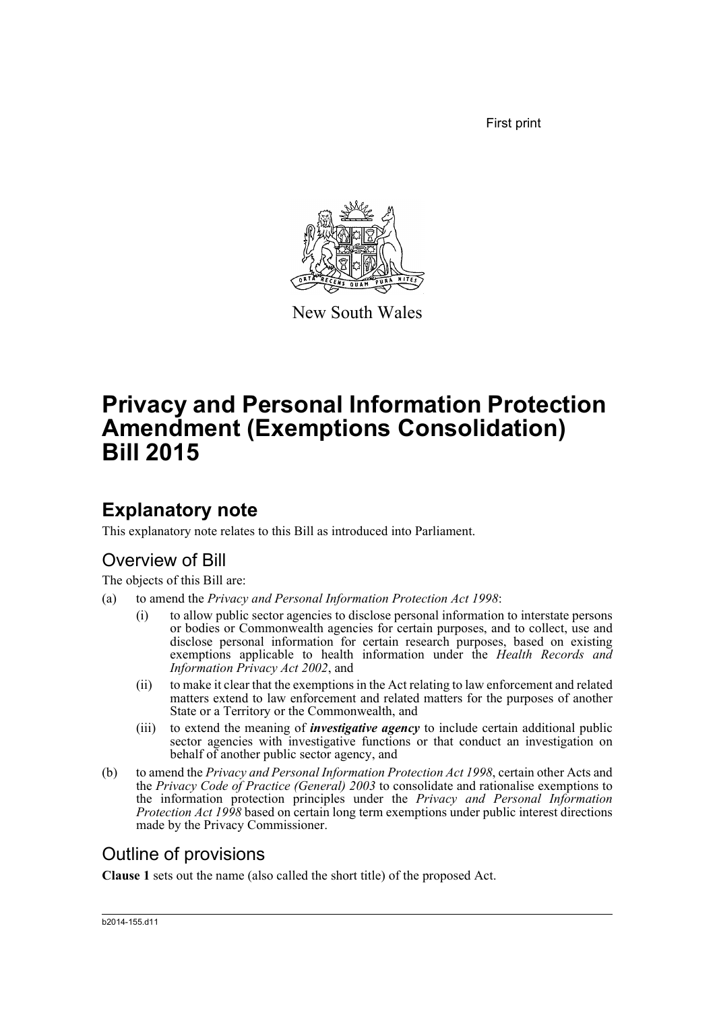First print



New South Wales

# **Privacy and Personal Information Protection Amendment (Exemptions Consolidation) Bill 2015**

## **Explanatory note**

This explanatory note relates to this Bill as introduced into Parliament.

## Overview of Bill

The objects of this Bill are:

- (a) to amend the *Privacy and Personal Information Protection Act 1998*:
	- (i) to allow public sector agencies to disclose personal information to interstate persons or bodies or Commonwealth agencies for certain purposes, and to collect, use and disclose personal information for certain research purposes, based on existing exemptions applicable to health information under the *Health Records and Information Privacy Act 2002*, and
	- (ii) to make it clear that the exemptions in the Act relating to law enforcement and related matters extend to law enforcement and related matters for the purposes of another State or a Territory or the Commonwealth, and
	- (iii) to extend the meaning of *investigative agency* to include certain additional public sector agencies with investigative functions or that conduct an investigation on behalf of another public sector agency, and
- (b) to amend the *Privacy and Personal Information Protection Act 1998*, certain other Acts and the *Privacy Code of Practice (General) 2003* to consolidate and rationalise exemptions to the information protection principles under the *Privacy and Personal Information Protection Act 1998* based on certain long term exemptions under public interest directions made by the Privacy Commissioner.

## Outline of provisions

**Clause 1** sets out the name (also called the short title) of the proposed Act.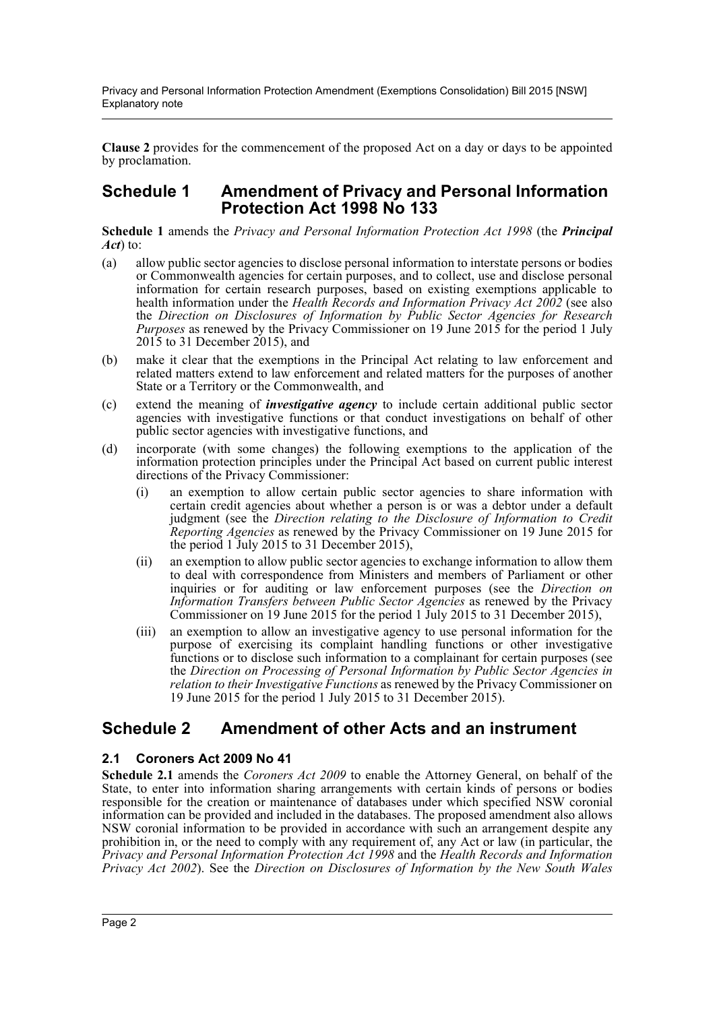Privacy and Personal Information Protection Amendment (Exemptions Consolidation) Bill 2015 [NSW] Explanatory note

**Clause 2** provides for the commencement of the proposed Act on a day or days to be appointed by proclamation.

### **Schedule 1 Amendment of Privacy and Personal Information Protection Act 1998 No 133**

**Schedule 1** amends the *Privacy and Personal Information Protection Act 1998* (the *Principal Act*) to:

- (a) allow public sector agencies to disclose personal information to interstate persons or bodies or Commonwealth agencies for certain purposes, and to collect, use and disclose personal information for certain research purposes, based on existing exemptions applicable to health information under the *Health Records and Information Privacy Act 2002* (see also the *Direction on Disclosures of Information by Public Sector Agencies for Research Purposes* as renewed by the Privacy Commissioner on 19 June 2015 for the period 1 July 2015 to 31 December 2015), and
- (b) make it clear that the exemptions in the Principal Act relating to law enforcement and related matters extend to law enforcement and related matters for the purposes of another State or a Territory or the Commonwealth, and
- (c) extend the meaning of *investigative agency* to include certain additional public sector agencies with investigative functions or that conduct investigations on behalf of other public sector agencies with investigative functions, and
- (d) incorporate (with some changes) the following exemptions to the application of the information protection principles under the Principal Act based on current public interest directions of the Privacy Commissioner:
	- (i) an exemption to allow certain public sector agencies to share information with certain credit agencies about whether a person is or was a debtor under a default judgment (see the *Direction relating to the Disclosure of Information to Credit Reporting Agencies* as renewed by the Privacy Commissioner on 19 June 2015 for the period 1 July 2015 to 31 December 2015),
	- (ii) an exemption to allow public sector agencies to exchange information to allow them to deal with correspondence from Ministers and members of Parliament or other inquiries or for auditing or law enforcement purposes (see the *Direction on Information Transfers between Public Sector Agencies* as renewed by the Privacy Commissioner on 19 June 2015 for the period 1 July 2015 to 31 December 2015),
	- (iii) an exemption to allow an investigative agency to use personal information for the purpose of exercising its complaint handling functions or other investigative functions or to disclose such information to a complainant for certain purposes (see the *Direction on Processing of Personal Information by Public Sector Agencies in relation to their Investigative Functions* as renewed by the Privacy Commissioner on 19 June 2015 for the period 1 July 2015 to 31 December 2015).

## **Schedule 2 Amendment of other Acts and an instrument**

### **2.1 Coroners Act 2009 No 41**

**Schedule 2.1** amends the *Coroners Act 2009* to enable the Attorney General, on behalf of the State, to enter into information sharing arrangements with certain kinds of persons or bodies responsible for the creation or maintenance of databases under which specified NSW coronial information can be provided and included in the databases. The proposed amendment also allows NSW coronial information to be provided in accordance with such an arrangement despite any prohibition in, or the need to comply with any requirement of, any Act or law (in particular, the *Privacy and Personal Information Protection Act 1998* and the *Health Records and Information Privacy Act 2002*). See the *Direction on Disclosures of Information by the New South Wales*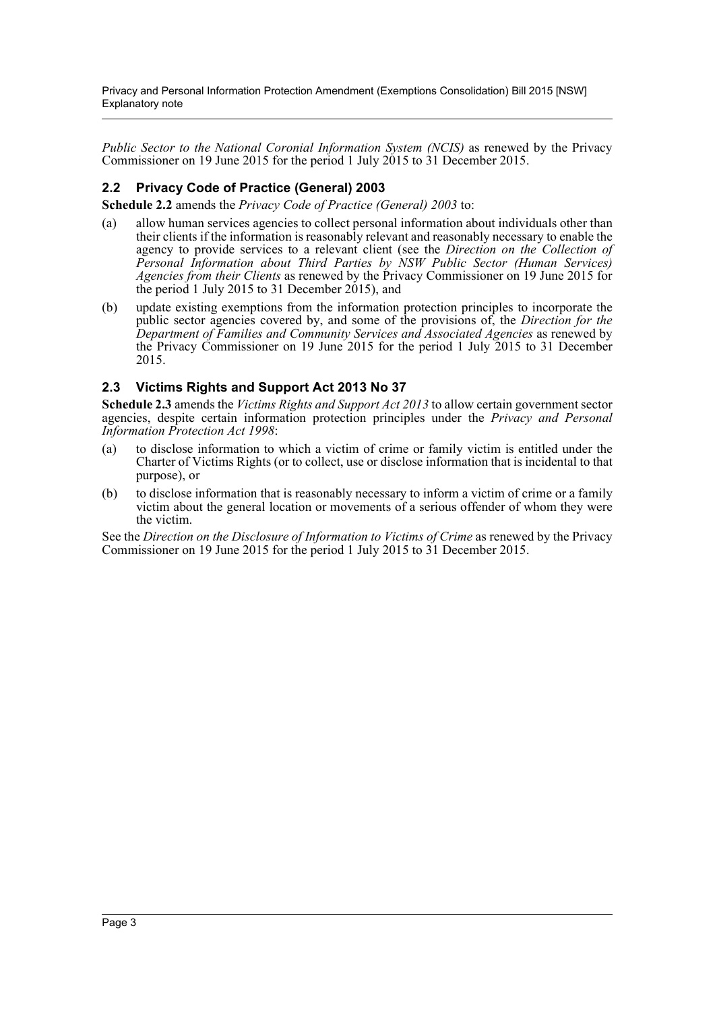Privacy and Personal Information Protection Amendment (Exemptions Consolidation) Bill 2015 [NSW] Explanatory note

*Public Sector to the National Coronial Information System (NCIS)* as renewed by the Privacy Commissioner on 19 June 2015 for the period 1 July 2015 to 31 December 2015.

### **2.2 Privacy Code of Practice (General) 2003**

**Schedule 2.2** amends the *Privacy Code of Practice (General) 2003* to:

- (a) allow human services agencies to collect personal information about individuals other than their clients if the information is reasonably relevant and reasonably necessary to enable the agency to provide services to a relevant client (see the *Direction on the Collection of Personal Information about Third Parties by NSW Public Sector (Human Services) Agencies from their Clients* as renewed by the Privacy Commissioner on 19 June 2015 for the period 1 July 2015 to 31 December 2015), and
- (b) update existing exemptions from the information protection principles to incorporate the public sector agencies covered by, and some of the provisions of, the *Direction for the Department of Families and Community Services and Associated Agencies* as renewed by the Privacy Commissioner on 19 June 2015 for the period 1 July 2015 to 31 December 2015.

### **2.3 Victims Rights and Support Act 2013 No 37**

**Schedule 2.3** amends the *Victims Rights and Support Act 2013* to allow certain government sector agencies, despite certain information protection principles under the *Privacy and Personal Information Protection Act 1998*:

- (a) to disclose information to which a victim of crime or family victim is entitled under the Charter of Victims Rights (or to collect, use or disclose information that is incidental to that purpose), or
- (b) to disclose information that is reasonably necessary to inform a victim of crime or a family victim about the general location or movements of a serious offender of whom they were the victim.

See the *Direction on the Disclosure of Information to Victims of Crime* as renewed by the Privacy Commissioner on 19 June 2015 for the period 1 July 2015 to 31 December 2015.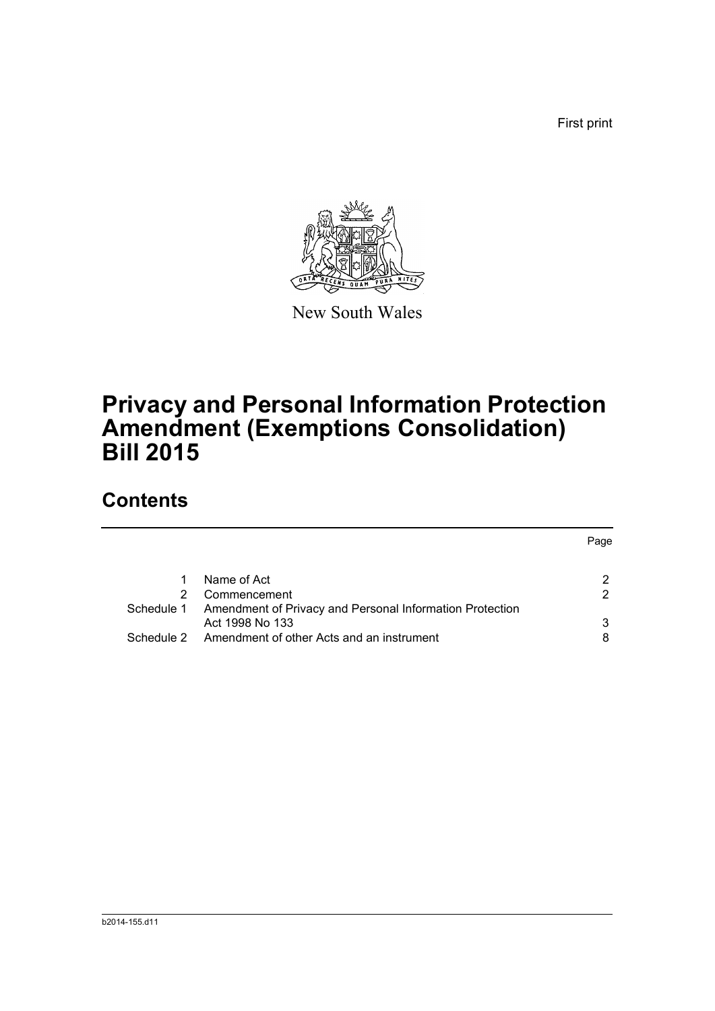First print



New South Wales

# **Privacy and Personal Information Protection Amendment (Exemptions Consolidation) Bill 2015**

## **Contents**

|            |                                                          | Page          |
|------------|----------------------------------------------------------|---------------|
|            | Name of Act                                              | 2             |
|            | Commencement                                             | $\mathcal{P}$ |
| Schedule 1 | Amendment of Privacy and Personal Information Protection |               |
|            | Act 1998 No 133                                          | 3             |
| Schedule 2 | Amendment of other Acts and an instrument                |               |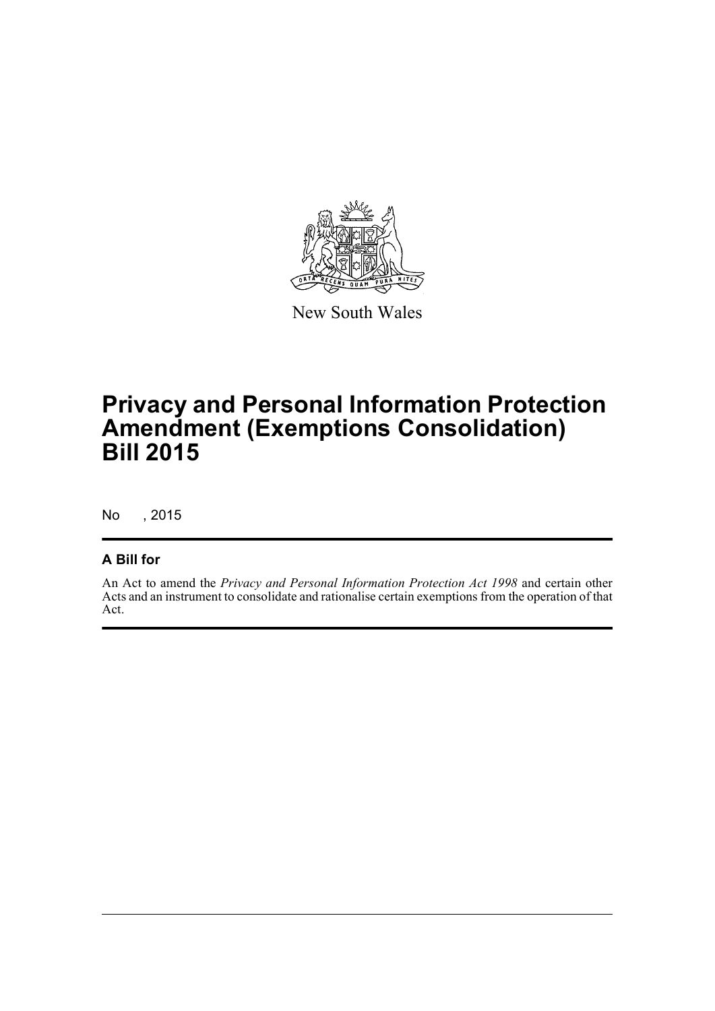

New South Wales

# **Privacy and Personal Information Protection Amendment (Exemptions Consolidation) Bill 2015**

No , 2015

## **A Bill for**

An Act to amend the *Privacy and Personal Information Protection Act 1998* and certain other Acts and an instrument to consolidate and rationalise certain exemptions from the operation of that Act.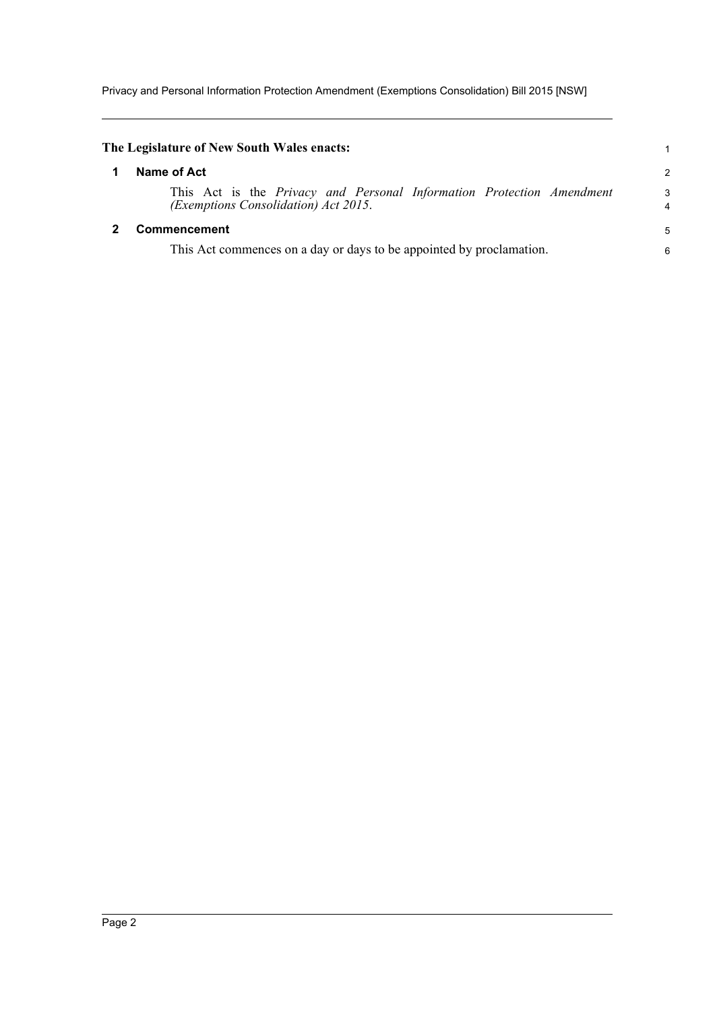Privacy and Personal Information Protection Amendment (Exemptions Consolidation) Bill 2015 [NSW]

<span id="page-5-1"></span><span id="page-5-0"></span>

| The Legislature of New South Wales enacts:                                                                           |        |
|----------------------------------------------------------------------------------------------------------------------|--------|
| Name of Act                                                                                                          | 2      |
| This Act is the <i>Privacy and Personal Information Protection Amendment</i><br>(Exemptions Consolidation) Act 2015. | 3<br>4 |
| <b>Commencement</b>                                                                                                  | 5      |
| This Act commences on a day or days to be appointed by proclamation.                                                 | 6      |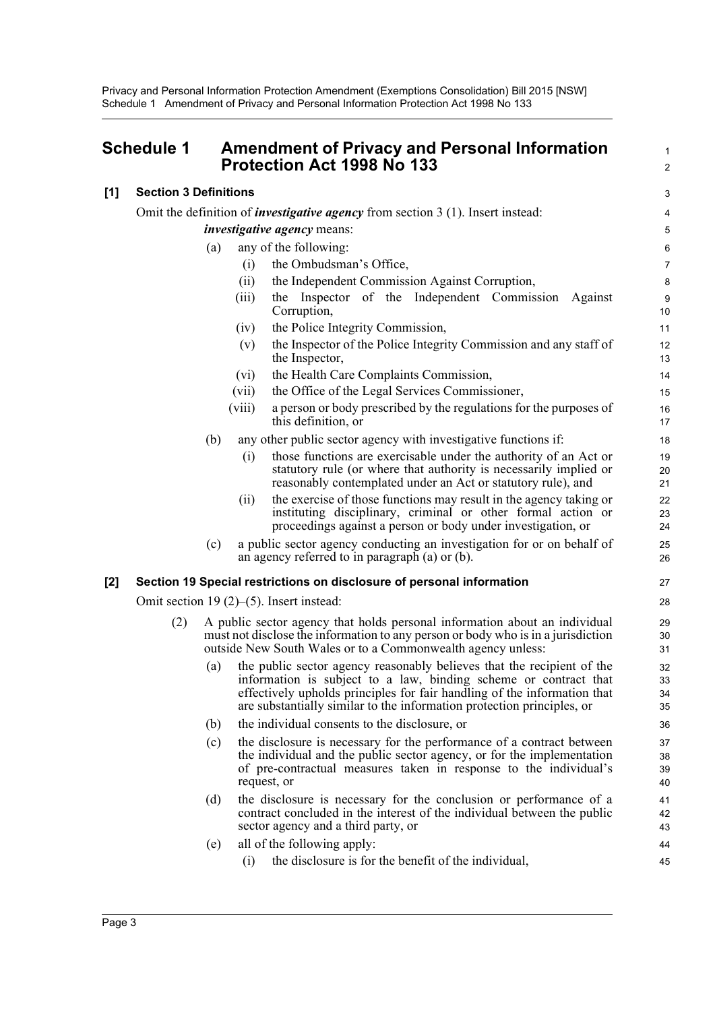Privacy and Personal Information Protection Amendment (Exemptions Consolidation) Bill 2015 [NSW] Schedule 1 Amendment of Privacy and Personal Information Protection Act 1998 No 133

<span id="page-6-0"></span>

|       | <b>Schedule 1</b>            |                    | <b>Amendment of Privacy and Personal Information</b><br><b>Protection Act 1998 No 133</b>                                                                                                                                                                                                        | $\mathbf{1}$<br>$\overline{2}$ |
|-------|------------------------------|--------------------|--------------------------------------------------------------------------------------------------------------------------------------------------------------------------------------------------------------------------------------------------------------------------------------------------|--------------------------------|
| [1]   | <b>Section 3 Definitions</b> |                    |                                                                                                                                                                                                                                                                                                  | 3                              |
|       |                              |                    | Omit the definition of <i>investigative agency</i> from section $3(1)$ . Insert instead:                                                                                                                                                                                                         | $\overline{\mathbf{4}}$        |
|       |                              |                    | <i>investigative agency</i> means:                                                                                                                                                                                                                                                               | $\mathbf 5$                    |
|       |                              | (a)                | any of the following:                                                                                                                                                                                                                                                                            | $\,6$                          |
|       |                              | (i)                | the Ombudsman's Office,                                                                                                                                                                                                                                                                          | $\overline{7}$                 |
|       |                              | (ii)               | the Independent Commission Against Corruption,                                                                                                                                                                                                                                                   | 8                              |
|       |                              | (iii)              | the Inspector of the Independent Commission Against<br>Corruption,                                                                                                                                                                                                                               | 9<br>10                        |
|       |                              | (iv)               | the Police Integrity Commission,                                                                                                                                                                                                                                                                 | 11                             |
|       |                              | (v)                | the Inspector of the Police Integrity Commission and any staff of<br>the Inspector,                                                                                                                                                                                                              | 12<br>13                       |
|       |                              | (vi)               | the Health Care Complaints Commission,                                                                                                                                                                                                                                                           | 14                             |
|       |                              | (vii)              | the Office of the Legal Services Commissioner,                                                                                                                                                                                                                                                   | 15                             |
|       |                              | (viii)             | a person or body prescribed by the regulations for the purposes of<br>this definition, or                                                                                                                                                                                                        | 16<br>17                       |
|       |                              | (b)                | any other public sector agency with investigative functions if:                                                                                                                                                                                                                                  | 18                             |
|       |                              | (i)                | those functions are exercisable under the authority of an Act or<br>statutory rule (or where that authority is necessarily implied or<br>reasonably contemplated under an Act or statutory rule), and                                                                                            | 19<br>20<br>21                 |
|       |                              | (11)               | the exercise of those functions may result in the agency taking or<br>instituting disciplinary, criminal or other formal action or<br>proceedings against a person or body under investigation, or                                                                                               | 22<br>23<br>24                 |
|       |                              | (c)                | a public sector agency conducting an investigation for or on behalf of<br>an agency referred to in paragraph $(a)$ or $(b)$ .                                                                                                                                                                    | 25<br>26                       |
| $[2]$ |                              |                    | Section 19 Special restrictions on disclosure of personal information                                                                                                                                                                                                                            | 27                             |
|       |                              |                    | Omit section 19 $(2)$ – $(5)$ . Insert instead:                                                                                                                                                                                                                                                  | 28                             |
|       | (2)                          |                    | A public sector agency that holds personal information about an individual<br>must not disclose the information to any person or body who is in a jurisdiction<br>outside New South Wales or to a Commonwealth agency unless:                                                                    | 29<br>30<br>31                 |
|       |                              | (a)                | the public sector agency reasonably believes that the recipient of the<br>information is subject to a law, binding scheme or contract that<br>effectively upholds principles for fair handling of the information that<br>are substantially similar to the information protection principles, or | 32<br>33<br>34<br>35           |
|       |                              | (b)                | the individual consents to the disclosure, or                                                                                                                                                                                                                                                    | 36                             |
|       |                              | (c)<br>request, or | the disclosure is necessary for the performance of a contract between<br>the individual and the public sector agency, or for the implementation<br>of pre-contractual measures taken in response to the individual's                                                                             | 37<br>38<br>39<br>40           |
|       |                              | (d)                | the disclosure is necessary for the conclusion or performance of a<br>contract concluded in the interest of the individual between the public<br>sector agency and a third party, or                                                                                                             | 41<br>42<br>43                 |
|       |                              | (e)                | all of the following apply:                                                                                                                                                                                                                                                                      | 44                             |
|       |                              | (i)                | the disclosure is for the benefit of the individual,                                                                                                                                                                                                                                             | 45                             |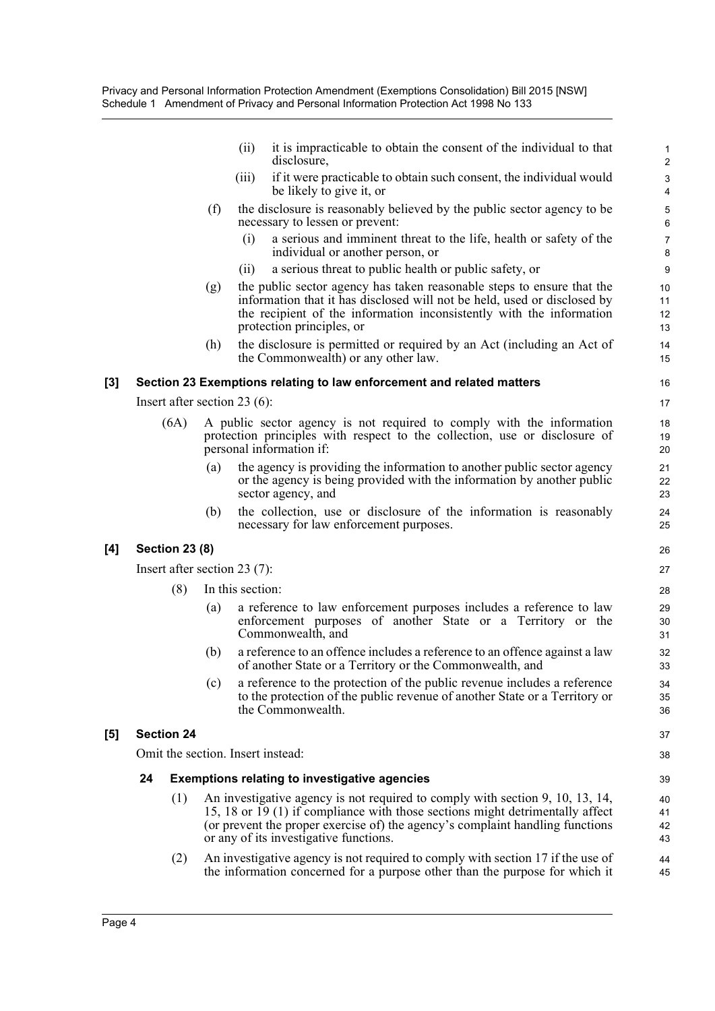|       |    |                                 |     | (ii)             | it is impracticable to obtain the consent of the individual to that<br>disclosure,                                                                                                                                                                                                        | $\mathbf{1}$<br>$\overline{2}$         |
|-------|----|---------------------------------|-----|------------------|-------------------------------------------------------------------------------------------------------------------------------------------------------------------------------------------------------------------------------------------------------------------------------------------|----------------------------------------|
|       |    |                                 |     | (iii)            | if it were practicable to obtain such consent, the individual would<br>be likely to give it, or                                                                                                                                                                                           | $\mathsf 3$<br>$\overline{\mathbf{4}}$ |
|       |    |                                 | (f) |                  | the disclosure is reasonably believed by the public sector agency to be<br>necessary to lessen or prevent:                                                                                                                                                                                | 5<br>6                                 |
|       |    |                                 |     | (i)              | a serious and imminent threat to the life, health or safety of the<br>individual or another person, or                                                                                                                                                                                    | $\overline{7}$<br>8                    |
|       |    |                                 |     | (i)              | a serious threat to public health or public safety, or                                                                                                                                                                                                                                    | $\boldsymbol{9}$                       |
|       |    |                                 | (g) |                  | the public sector agency has taken reasonable steps to ensure that the<br>information that it has disclosed will not be held, used or disclosed by<br>the recipient of the information inconsistently with the information<br>protection principles, or                                   | 10<br>11<br>12<br>13                   |
|       |    |                                 | (h) |                  | the disclosure is permitted or required by an Act (including an Act of<br>the Commonwealth) or any other law.                                                                                                                                                                             | 14<br>15                               |
| $[3]$ |    |                                 |     |                  | Section 23 Exemptions relating to law enforcement and related matters                                                                                                                                                                                                                     | 16                                     |
|       |    | Insert after section 23 $(6)$ : |     |                  |                                                                                                                                                                                                                                                                                           | 17                                     |
|       |    | (6A)                            |     |                  | A public sector agency is not required to comply with the information<br>protection principles with respect to the collection, use or disclosure of<br>personal information if:                                                                                                           | 18<br>19<br>20                         |
|       |    |                                 | (a) |                  | the agency is providing the information to another public sector agency<br>or the agency is being provided with the information by another public<br>sector agency, and                                                                                                                   | 21<br>22<br>23                         |
|       |    |                                 | (b) |                  | the collection, use or disclosure of the information is reasonably<br>necessary for law enforcement purposes.                                                                                                                                                                             | 24<br>25                               |
| [4]   |    | <b>Section 23 (8)</b>           |     |                  |                                                                                                                                                                                                                                                                                           | 26                                     |
|       |    | Insert after section 23 $(7)$ : |     |                  |                                                                                                                                                                                                                                                                                           | 27                                     |
|       |    | (8)                             |     | In this section: |                                                                                                                                                                                                                                                                                           | 28                                     |
|       |    |                                 | (a) |                  | a reference to law enforcement purposes includes a reference to law<br>enforcement purposes of another State or a Territory or the<br>Commonwealth, and                                                                                                                                   | 29<br>30<br>31                         |
|       |    |                                 | (b) |                  | a reference to an offence includes a reference to an offence against a law<br>of another State or a Territory or the Commonwealth, and                                                                                                                                                    | 32<br>33                               |
|       |    |                                 | (c) |                  | a reference to the protection of the public revenue includes a reference<br>to the protection of the public revenue of another State or a Territory or<br>the Commonwealth.                                                                                                               | 34<br>35<br>36                         |
| [5]   |    | <b>Section 24</b>               |     |                  |                                                                                                                                                                                                                                                                                           | 37                                     |
|       |    |                                 |     |                  | Omit the section. Insert instead:                                                                                                                                                                                                                                                         | 38                                     |
|       | 24 |                                 |     |                  | <b>Exemptions relating to investigative agencies</b>                                                                                                                                                                                                                                      | 39                                     |
|       |    | (1)                             |     |                  | An investigative agency is not required to comply with section 9, 10, 13, 14,<br>15, 18 or 19 (1) if compliance with those sections might detrimentally affect<br>(or prevent the proper exercise of) the agency's complaint handling functions<br>or any of its investigative functions. | 40<br>41<br>42<br>43                   |
|       |    | (2)                             |     |                  | An investigative agency is not required to comply with section 17 if the use of<br>the information concerned for a purpose other than the purpose for which it                                                                                                                            | 44<br>45                               |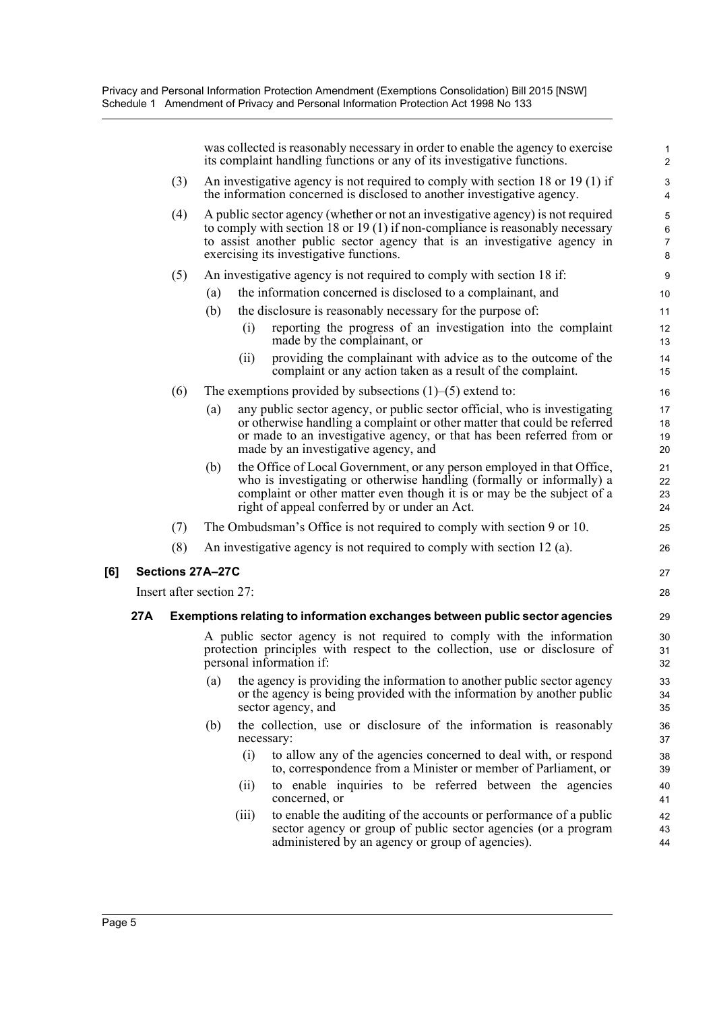|     |     |                          |     |            | was collected is reasonably necessary in order to enable the agency to exercise<br>its complaint handling functions or any of its investigative functions.                                                                                                                               | $\mathbf{1}$<br>$\overline{2}$        |
|-----|-----|--------------------------|-----|------------|------------------------------------------------------------------------------------------------------------------------------------------------------------------------------------------------------------------------------------------------------------------------------------------|---------------------------------------|
|     |     | (3)                      |     |            | An investigative agency is not required to comply with section 18 or 19 $(1)$ if<br>the information concerned is disclosed to another investigative agency.                                                                                                                              | $\ensuremath{\mathsf{3}}$<br>4        |
|     |     | (4)                      |     |            | A public sector agency (whether or not an investigative agency) is not required<br>to comply with section 18 or 19 (1) if non-compliance is reasonably necessary<br>to assist another public sector agency that is an investigative agency in<br>exercising its investigative functions. | 5<br>$\,6\,$<br>$\boldsymbol{7}$<br>8 |
|     |     | (5)                      |     |            | An investigative agency is not required to comply with section 18 if:                                                                                                                                                                                                                    | 9                                     |
|     |     |                          | (a) |            | the information concerned is disclosed to a complainant, and                                                                                                                                                                                                                             | 10                                    |
|     |     |                          | (b) |            | the disclosure is reasonably necessary for the purpose of:                                                                                                                                                                                                                               | 11                                    |
|     |     |                          |     | (i)        | reporting the progress of an investigation into the complaint<br>made by the complainant, or                                                                                                                                                                                             | 12<br>13                              |
|     |     |                          |     | (ii)       | providing the complainant with advice as to the outcome of the<br>complaint or any action taken as a result of the complaint.                                                                                                                                                            | 14<br>15                              |
|     |     | (6)                      |     |            | The exemptions provided by subsections $(1)$ – $(5)$ extend to:                                                                                                                                                                                                                          | 16                                    |
|     |     |                          | (a) |            | any public sector agency, or public sector official, who is investigating<br>or otherwise handling a complaint or other matter that could be referred<br>or made to an investigative agency, or that has been referred from or<br>made by an investigative agency, and                   | 17<br>18<br>19<br>20                  |
|     |     |                          | (b) |            | the Office of Local Government, or any person employed in that Office,<br>who is investigating or otherwise handling (formally or informally) a<br>complaint or other matter even though it is or may be the subject of a<br>right of appeal conferred by or under an Act.               | 21<br>22<br>23<br>24                  |
|     |     | (7)                      |     |            | The Ombudsman's Office is not required to comply with section 9 or 10.                                                                                                                                                                                                                   | 25                                    |
|     |     | (8)                      |     |            | An investigative agency is not required to comply with section 12 (a).                                                                                                                                                                                                                   | 26                                    |
| [6] |     | Sections 27A-27C         |     |            |                                                                                                                                                                                                                                                                                          | 27                                    |
|     |     | Insert after section 27: |     |            |                                                                                                                                                                                                                                                                                          | 28                                    |
|     | 27A |                          |     |            | Exemptions relating to information exchanges between public sector agencies                                                                                                                                                                                                              | 29                                    |
|     |     |                          |     |            | A public sector agency is not required to comply with the information<br>protection principles with respect to the collection, use or disclosure of<br>personal information if:                                                                                                          | 30<br>31<br>32                        |
|     |     |                          | (a) |            | the agency is providing the information to another public sector agency<br>or the agency is being provided with the information by another public<br>sector agency, and                                                                                                                  | 33<br>34<br>35                        |
|     |     |                          | (b) | necessary: | the collection, use or disclosure of the information is reasonably                                                                                                                                                                                                                       | 36<br>37                              |
|     |     |                          |     | (i)        | to allow any of the agencies concerned to deal with, or respond<br>to, correspondence from a Minister or member of Parliament, or                                                                                                                                                        | 38<br>39                              |
|     |     |                          |     | (ii)       | to enable inquiries to be referred between the agencies<br>concerned, or                                                                                                                                                                                                                 | 40<br>41                              |
|     |     |                          |     | (iii)      | to enable the auditing of the accounts or performance of a public<br>sector agency or group of public sector agencies (or a program<br>administered by an agency or group of agencies).                                                                                                  | 42<br>43<br>44                        |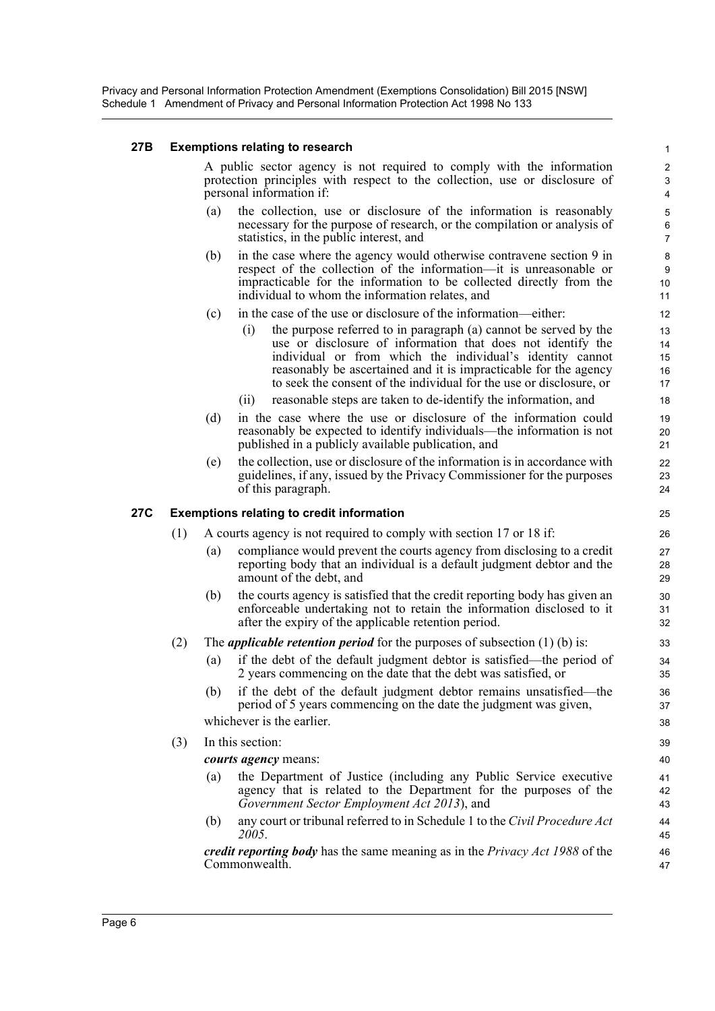Privacy and Personal Information Protection Amendment (Exemptions Consolidation) Bill 2015 [NSW] Schedule 1 Amendment of Privacy and Personal Information Protection Act 1998 No 133

#### **27B Exemptions relating to research**

A public sector agency is not required to comply with the information protection principles with respect to the collection, use or disclosure of personal information if:

- (a) the collection, use or disclosure of the information is reasonably necessary for the purpose of research, or the compilation or analysis of statistics, in the public interest, and
- (b) in the case where the agency would otherwise contravene section 9 in respect of the collection of the information—it is unreasonable or impracticable for the information to be collected directly from the individual to whom the information relates, and
- (c) in the case of the use or disclosure of the information—either:
	- (i) the purpose referred to in paragraph (a) cannot be served by the use or disclosure of information that does not identify the individual or from which the individual's identity cannot reasonably be ascertained and it is impracticable for the agency to seek the consent of the individual for the use or disclosure, or
	- (ii) reasonable steps are taken to de-identify the information, and
- (d) in the case where the use or disclosure of the information could reasonably be expected to identify individuals—the information is not published in a publicly available publication, and
- (e) the collection, use or disclosure of the information is in accordance with guidelines, if any, issued by the Privacy Commissioner for the purposes of this paragraph.

#### **27C Exemptions relating to credit information**

- (1) A courts agency is not required to comply with section 17 or 18 if:
	- (a) compliance would prevent the courts agency from disclosing to a credit reporting body that an individual is a default judgment debtor and the amount of the debt, and
	- (b) the courts agency is satisfied that the credit reporting body has given an enforceable undertaking not to retain the information disclosed to it after the expiry of the applicable retention period.
- (2) The *applicable retention period* for the purposes of subsection (1) (b) is:
	- (a) if the debt of the default judgment debtor is satisfied—the period of 2 years commencing on the date that the debt was satisfied, or
	- (b) if the debt of the default judgment debtor remains unsatisfied—the period of 5 years commencing on the date the judgment was given, whichever is the earlier.

#### (3) In this section:

*courts agency* means:

- (a) the Department of Justice (including any Public Service executive agency that is related to the Department for the purposes of the *Government Sector Employment Act 2013*), and
- (b) any court or tribunal referred to in Schedule 1 to the *Civil Procedure Act 2005*.

*credit reporting body* has the same meaning as in the *Privacy Act 1988* of the Commonwealth.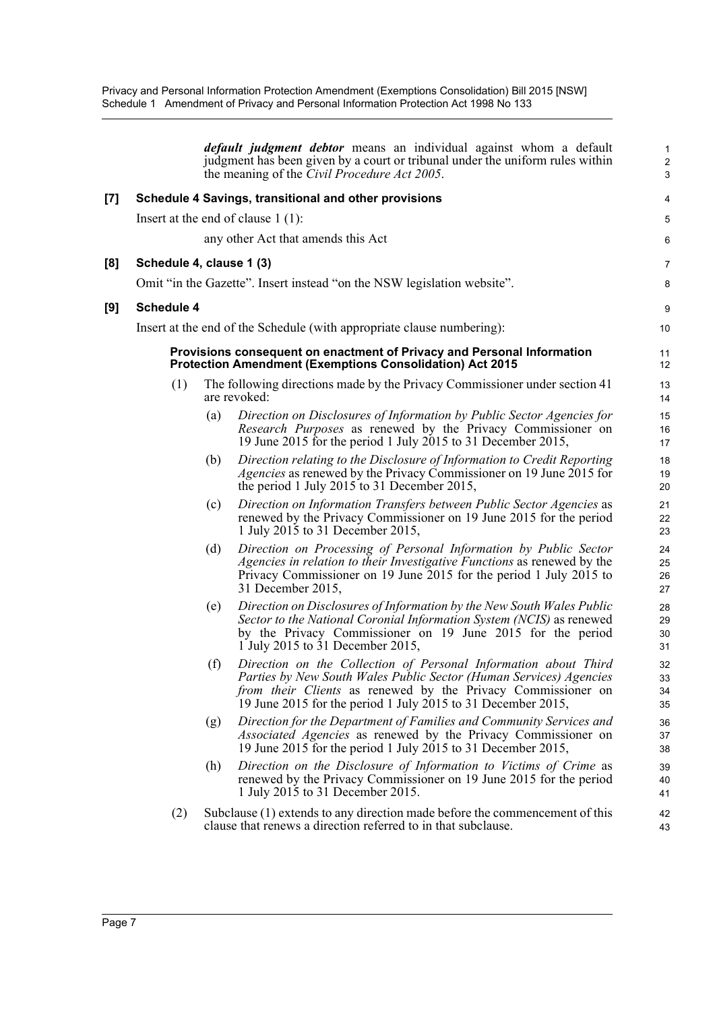Privacy and Personal Information Protection Amendment (Exemptions Consolidation) Bill 2015 [NSW] Schedule 1 Amendment of Privacy and Personal Information Protection Act 1998 No 133

|     |                          |     | <i>default judgment debtor</i> means an individual against whom a default<br>judgment has been given by a court or tribunal under the uniform rules within<br>the meaning of the <i>Civil Procedure Act 2005</i> .                                                           | $\mathbf{1}$<br>$\overline{2}$<br>3 |
|-----|--------------------------|-----|------------------------------------------------------------------------------------------------------------------------------------------------------------------------------------------------------------------------------------------------------------------------------|-------------------------------------|
| [7] |                          |     | Schedule 4 Savings, transitional and other provisions                                                                                                                                                                                                                        | 4                                   |
|     |                          |     | Insert at the end of clause $1(1)$ :                                                                                                                                                                                                                                         | 5                                   |
|     |                          |     | any other Act that amends this Act                                                                                                                                                                                                                                           | 6                                   |
| [8] | Schedule 4, clause 1 (3) |     |                                                                                                                                                                                                                                                                              | 7                                   |
|     |                          |     | Omit "in the Gazette". Insert instead "on the NSW legislation website".                                                                                                                                                                                                      | 8                                   |
| [9] | <b>Schedule 4</b>        |     |                                                                                                                                                                                                                                                                              | 9                                   |
|     |                          |     | Insert at the end of the Schedule (with appropriate clause numbering):                                                                                                                                                                                                       | 10                                  |
|     |                          |     | Provisions consequent on enactment of Privacy and Personal Information<br><b>Protection Amendment (Exemptions Consolidation) Act 2015</b>                                                                                                                                    | 11<br>12                            |
|     | (1)                      |     | The following directions made by the Privacy Commissioner under section 41<br>are revoked:                                                                                                                                                                                   | 13<br>14                            |
|     |                          | (a) | Direction on Disclosures of Information by Public Sector Agencies for<br>Research Purposes as renewed by the Privacy Commissioner on<br>19 June 2015 for the period 1 July 2015 to 31 December 2015,                                                                         | 15<br>16<br>17                      |
|     |                          | (b) | Direction relating to the Disclosure of Information to Credit Reporting<br><i>Agencies</i> as renewed by the Privacy Commissioner on 19 June 2015 for<br>the period 1 July 2015 to 31 December 2015,                                                                         | 18<br>19<br>20                      |
|     |                          | (c) | Direction on Information Transfers between Public Sector Agencies as<br>renewed by the Privacy Commissioner on 19 June 2015 for the period<br>1 July 2015 to 31 December 2015,                                                                                               | 21<br>22<br>23                      |
|     |                          | (d) | Direction on Processing of Personal Information by Public Sector<br>Agencies in relation to their Investigative Functions as renewed by the<br>Privacy Commissioner on 19 June 2015 for the period 1 July 2015 to<br>31 December 2015,                                       | 24<br>25<br>26<br>27                |
|     |                          | (e) | Direction on Disclosures of Information by the New South Wales Public<br>Sector to the National Coronial Information System (NCIS) as renewed<br>by the Privacy Commissioner on 19 June 2015 for the period<br>1 July 2015 to 31 December 2015,                              | 28<br>29<br>30<br>31                |
|     |                          | (f) | Direction on the Collection of Personal Information about Third<br>Parties by New South Wales Public Sector (Human Services) Agencies<br><i>from their Clients</i> as renewed by the Privacy Commissioner on<br>19 June 2015 for the period 1 July 2015 to 31 December 2015, | 32<br>33<br>34<br>35                |
|     |                          | (g) | Direction for the Department of Families and Community Services and<br>Associated Agencies as renewed by the Privacy Commissioner on<br>19 June 2015 for the period 1 July 2015 to 31 December 2015,                                                                         | 36<br>37<br>38                      |
|     |                          | (h) | Direction on the Disclosure of Information to Victims of Crime as<br>renewed by the Privacy Commissioner on 19 June 2015 for the period<br>1 July 2015 to 31 December 2015.                                                                                                  | 39<br>40<br>41                      |
|     | (2)                      |     | Subclause (1) extends to any direction made before the commencement of this<br>clause that renews a direction referred to in that subclause.                                                                                                                                 | 42<br>43                            |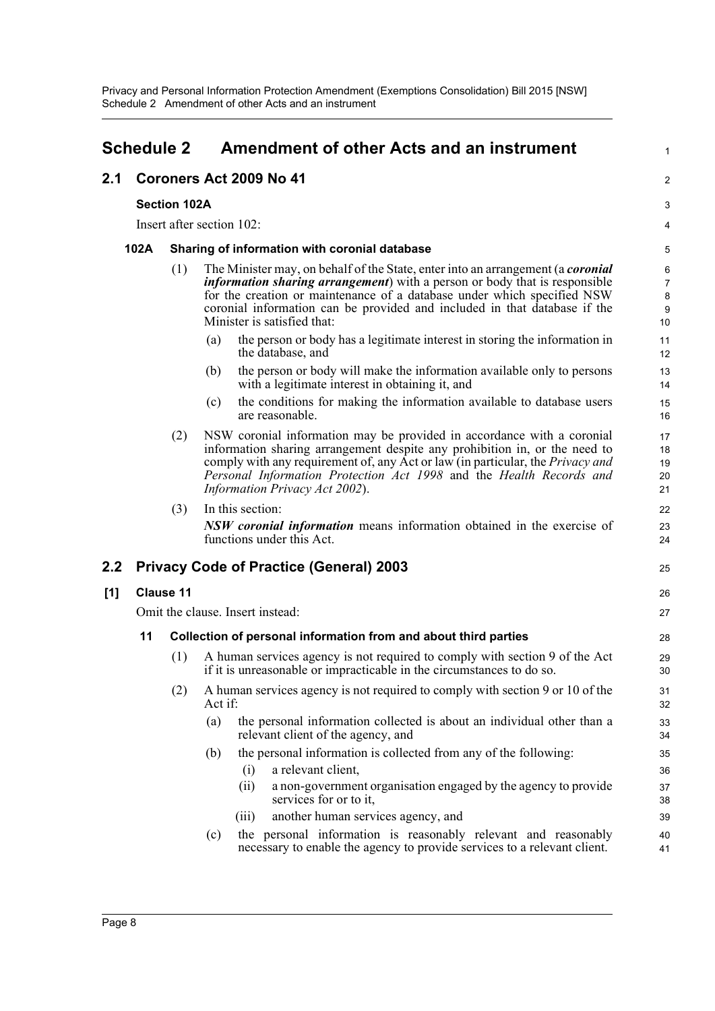## <span id="page-11-0"></span>**Schedule 2 Amendment of other Acts and an instrument**

#### **2.1 Coroners Act 2009 No 41**

#### **Section 102A**

Insert after section 102:

#### **102A Sharing of information with coronial database**

- (1) The Minister may, on behalf of the State, enter into an arrangement (a *coronial information sharing arrangement*) with a person or body that is responsible for the creation or maintenance of a database under which specified NSW coronial information can be provided and included in that database if the Minister is satisfied that:
	- (a) the person or body has a legitimate interest in storing the information in the database, and

1

 $\mathfrak{p}$ 

25

26 27

- (b) the person or body will make the information available only to persons with a legitimate interest in obtaining it, and
- (c) the conditions for making the information available to database users are reasonable.
- (2) NSW coronial information may be provided in accordance with a coronial information sharing arrangement despite any prohibition in, or the need to comply with any requirement of, any Act or law (in particular, the *Privacy and Personal Information Protection Act 1998* and the *Health Records and Information Privacy Act 2002*).

(3) In this section: *NSW coronial information* means information obtained in the exercise of functions under this Act.

### **2.2 Privacy Code of Practice (General) 2003**

#### **[1] Clause 11**

Omit the clause. Insert instead:

#### **11 Collection of personal information from and about third parties**

- (1) A human services agency is not required to comply with section 9 of the Act if it is unreasonable or impracticable in the circumstances to do so.
- (2) A human services agency is not required to comply with section 9 or 10 of the Act if:
	- (a) the personal information collected is about an individual other than a relevant client of the agency, and
	- (b) the personal information is collected from any of the following:
		- (i) a relevant client,
		- (ii) a non-government organisation engaged by the agency to provide services for or to it,
		- (iii) another human services agency, and
	- (c) the personal information is reasonably relevant and reasonably necessary to enable the agency to provide services to a relevant client. 40 41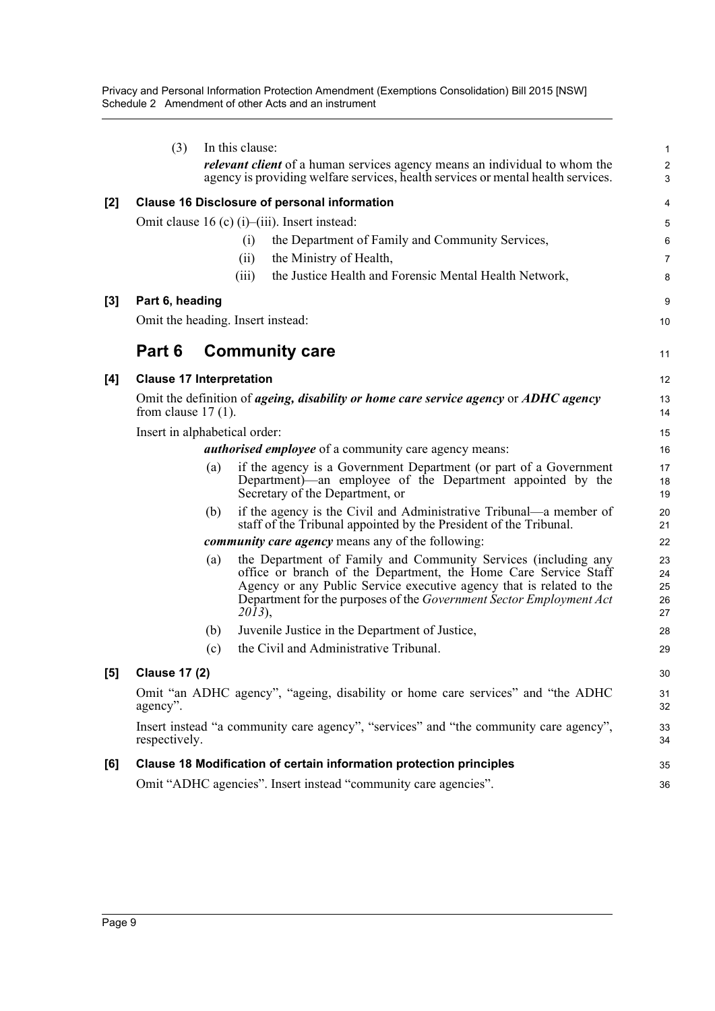Privacy and Personal Information Protection Amendment (Exemptions Consolidation) Bill 2015 [NSW] Schedule 2 Amendment of other Acts and an instrument

|     | (3)                             |     | In this clause:<br><i>relevant client</i> of a human services agency means an individual to whom the<br>agency is providing welfare services, health services or mental health services.                                                                                                     | 1<br>$\overline{\mathbf{c}}$<br>3 |
|-----|---------------------------------|-----|----------------------------------------------------------------------------------------------------------------------------------------------------------------------------------------------------------------------------------------------------------------------------------------------|-----------------------------------|
| [2] |                                 |     | <b>Clause 16 Disclosure of personal information</b>                                                                                                                                                                                                                                          | 4                                 |
|     |                                 |     | Omit clause 16 (c) (i)–(iii). Insert instead:                                                                                                                                                                                                                                                | 5                                 |
|     |                                 |     | the Department of Family and Community Services,<br>(i)                                                                                                                                                                                                                                      | 6                                 |
|     |                                 |     | the Ministry of Health,<br>(ii)                                                                                                                                                                                                                                                              | 7                                 |
|     |                                 |     | the Justice Health and Forensic Mental Health Network,<br>(iii)                                                                                                                                                                                                                              | 8                                 |
| [3] | Part 6, heading                 |     |                                                                                                                                                                                                                                                                                              | 9                                 |
|     |                                 |     | Omit the heading. Insert instead:                                                                                                                                                                                                                                                            | 10                                |
|     | Part 6                          |     | <b>Community care</b>                                                                                                                                                                                                                                                                        | 11                                |
| [4] | <b>Clause 17 Interpretation</b> |     |                                                                                                                                                                                                                                                                                              | 12                                |
|     | from clause $17(1)$ .           |     | Omit the definition of <i>ageing, disability or home care service agency</i> or <i>ADHC agency</i>                                                                                                                                                                                           | 13<br>14                          |
|     | Insert in alphabetical order:   |     |                                                                                                                                                                                                                                                                                              | 15                                |
|     |                                 |     | <i>authorised employee</i> of a community care agency means:                                                                                                                                                                                                                                 | 16                                |
|     |                                 | (a) | if the agency is a Government Department (or part of a Government<br>Department)—an employee of the Department appointed by the<br>Secretary of the Department, or                                                                                                                           | 17<br>18<br>19                    |
|     |                                 | (b) | if the agency is the Civil and Administrative Tribunal—a member of<br>staff of the Tribunal appointed by the President of the Tribunal.                                                                                                                                                      | 20<br>21                          |
|     |                                 |     | <i>community care agency</i> means any of the following:                                                                                                                                                                                                                                     | 22                                |
|     |                                 | (a) | the Department of Family and Community Services (including any<br>office or branch of the Department, the Home Care Service Staff<br>Agency or any Public Service executive agency that is related to the<br>Department for the purposes of the Government Sector Employment Act<br>$2013$ , | 23<br>24<br>25<br>26<br>27        |
|     |                                 | (b) | Juvenile Justice in the Department of Justice,                                                                                                                                                                                                                                               | 28                                |
|     |                                 | (c) | the Civil and Administrative Tribunal.                                                                                                                                                                                                                                                       | 29                                |
| [b] | <b>Clause 17 (2)</b>            |     |                                                                                                                                                                                                                                                                                              | 30                                |
|     | agency".                        |     | Omit "an ADHC agency", "ageing, disability or home care services" and "the ADHC                                                                                                                                                                                                              | 31<br>32                          |
|     | respectively.                   |     | Insert instead "a community care agency", "services" and "the community care agency",                                                                                                                                                                                                        | 33<br>34                          |
| [6] |                                 |     | Clause 18 Modification of certain information protection principles                                                                                                                                                                                                                          | 35                                |
|     |                                 |     | Omit "ADHC agencies". Insert instead "community care agencies".                                                                                                                                                                                                                              | 36                                |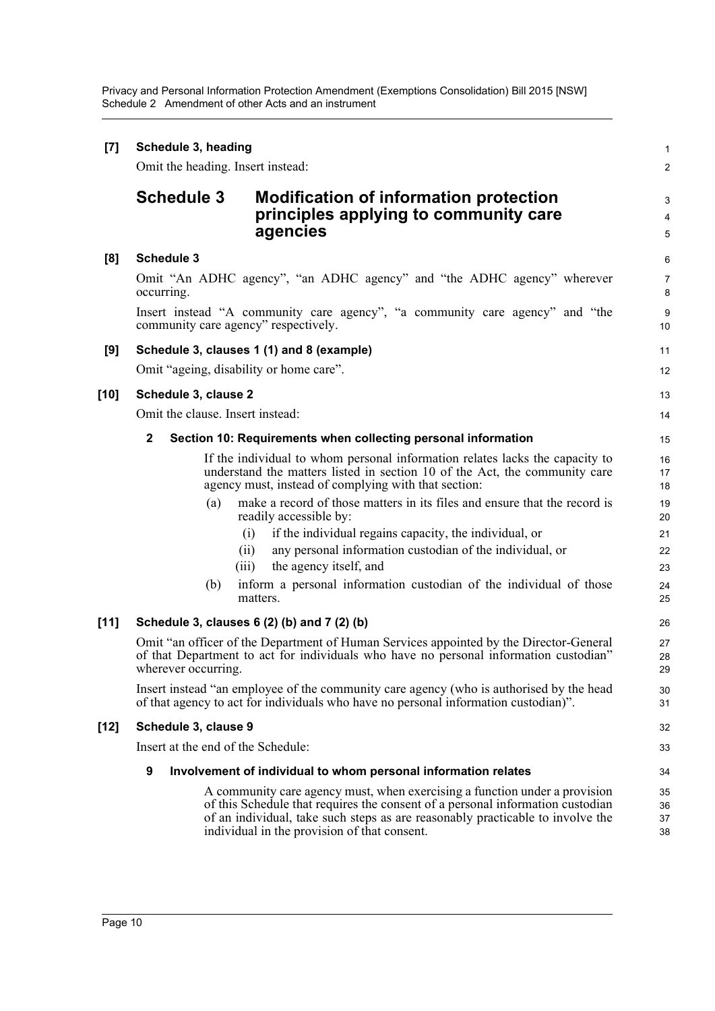Privacy and Personal Information Protection Amendment (Exemptions Consolidation) Bill 2015 [NSW] Schedule 2 Amendment of other Acts and an instrument

| $[7]$  | Schedule 3, heading<br>Omit the heading. Insert instead: |                                                                                                                                                                                                                                                                                                | 1<br>$\overline{2}$        |
|--------|----------------------------------------------------------|------------------------------------------------------------------------------------------------------------------------------------------------------------------------------------------------------------------------------------------------------------------------------------------------|----------------------------|
|        | <b>Schedule 3</b>                                        | <b>Modification of information protection</b><br>principles applying to community care<br>agencies                                                                                                                                                                                             | 3<br>4<br>5                |
| [8]    | <b>Schedule 3</b>                                        |                                                                                                                                                                                                                                                                                                | 6                          |
|        | occurring.                                               | Omit "An ADHC agency", "an ADHC agency" and "the ADHC agency" wherever                                                                                                                                                                                                                         | $\overline{7}$<br>8        |
|        | community care agency" respectively.                     | Insert instead "A community care agency", "a community care agency" and "the                                                                                                                                                                                                                   | 9<br>10                    |
| [9]    |                                                          | Schedule 3, clauses 1 (1) and 8 (example)                                                                                                                                                                                                                                                      | 11                         |
|        | Omit "ageing, disability or home care".                  |                                                                                                                                                                                                                                                                                                | 12                         |
| [10]   | Schedule 3, clause 2                                     |                                                                                                                                                                                                                                                                                                | 13                         |
|        | Omit the clause. Insert instead:                         |                                                                                                                                                                                                                                                                                                | 14                         |
|        | $\mathbf{2}$                                             | Section 10: Requirements when collecting personal information                                                                                                                                                                                                                                  | 15                         |
|        |                                                          | If the individual to whom personal information relates lacks the capacity to<br>understand the matters listed in section 10 of the Act, the community care<br>agency must, instead of complying with that section:                                                                             | 16<br>17<br>18             |
|        | (a)                                                      | make a record of those matters in its files and ensure that the record is<br>readily accessible by:                                                                                                                                                                                            | 19<br>20                   |
|        | (b)                                                      | if the individual regains capacity, the individual, or<br>(i)<br>any personal information custodian of the individual, or<br>(i)<br>the agency itself, and<br>(iii)<br>inform a personal information custodian of the individual of those<br>matters.                                          | 21<br>22<br>23<br>24<br>25 |
| $[11]$ |                                                          | Schedule 3, clauses 6 (2) (b) and 7 (2) (b)                                                                                                                                                                                                                                                    | 26                         |
|        | wherever occurring                                       | Omit "an officer of the Department of Human Services appointed by the Director-General<br>of that Department to act for individuals who have no personal information custodian"                                                                                                                | 27<br>28<br>29             |
|        |                                                          | Insert instead "an employee of the community care agency (who is authorised by the head<br>of that agency to act for individuals who have no personal information custodian)".                                                                                                                 | 30<br>31                   |
| [12]   | Schedule 3, clause 9                                     |                                                                                                                                                                                                                                                                                                | 32                         |
|        | Insert at the end of the Schedule:                       |                                                                                                                                                                                                                                                                                                | 33                         |
|        | 9                                                        | Involvement of individual to whom personal information relates                                                                                                                                                                                                                                 | 34                         |
|        |                                                          | A community care agency must, when exercising a function under a provision<br>of this Schedule that requires the consent of a personal information custodian<br>of an individual, take such steps as are reasonably practicable to involve the<br>individual in the provision of that consent. | 35<br>36<br>37<br>38       |